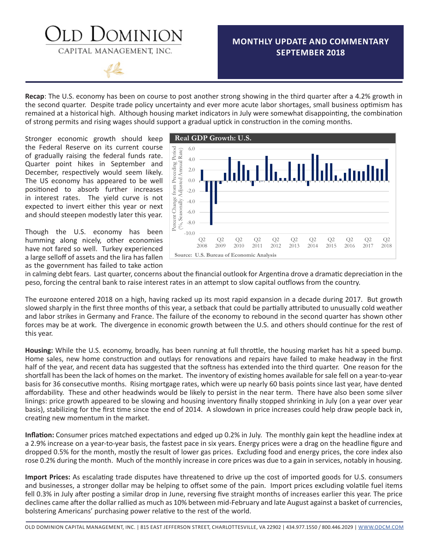### **MONTHLY UPDATE AND COMMENTARY SEPTEMBER 2018**



CAPITAL MANAGEMENT, INC.

**DMINION** 

**Recap**: The U.S. economy has been on course to post another strong showing in the third quarter after a 4.2% growth in the second quarter. Despite trade policy uncertainty and ever more acute labor shortages, small business optimism has remained at a historical high. Although housing market indicators in July were somewhat disappointing, the combination of strong permits and rising wages should support a gradual uptick in construction in the coming months.

Stronger economic growth should keep the Federal Reserve on its current course of gradually raising the federal funds rate. Quarter point hikes in September and December, respectively would seem likely. The US economy has appeared to be well positioned to absorb further increases in interest rates. The yield curve is not expected to invert either this year or next and should steepen modestly later this year.

Though the U.S. economy has been humming along nicely, other economies have not fared so well. Turkey experienced a large selloff of assets and the lira has fallen as the government has failed to take action



in calming debt fears. Last quarter, concerns about the financial outlook for Argentina drove a dramatic depreciation in the peso, forcing the central bank to raise interest rates in an attempt to slow capital outflows from the country.

The eurozone entered 2018 on a high, having racked up its most rapid expansion in a decade during 2017. But growth slowed sharply in the first three months of this year, a setback that could be partially attributed to unusually cold weather and labor strikes in Germany and France. The failure of the economy to rebound in the second quarter has shown other forces may be at work. The divergence in economic growth between the U.S. and others should continue for the rest of this year.

**Housing:** While the U.S. economy, broadly, has been running at full throttle, the housing market has hit a speed bump. Home sales, new home construction and outlays for renovations and repairs have failed to make headway in the first half of the year, and recent data has suggested that the softness has extended into the third quarter. One reason for the shortfall has been the lack of homes on the market. The inventory of existing homes available for sale fell on a year-to-year basis for 36 consecutive months. Rising mortgage rates, which were up nearly 60 basis points since last year, have dented affordability. These and other headwinds would be likely to persist in the near term. There have also been some silver linings: price growth appeared to be slowing and housing inventory finally stopped shrinking in July (on a year over year basis), stabilizing for the first time since the end of 2014. A slowdown in price increases could help draw people back in, creating new momentum in the market.

**Inflation:** Consumer prices matched expectations and edged up 0.2% in July. The monthly gain kept the headline index at a 2.9% increase on a year-to-year basis, the fastest pace in six years. Energy prices were a drag on the headline figure and dropped 0.5% for the month, mostly the result of lower gas prices. Excluding food and energy prices, the core index also rose 0.2% during the month. Much of the monthly increase in core prices was due to a gain in services, notably in housing.

**Import Prices:** As escalating trade disputes have threatened to drive up the cost of imported goods for U.S. consumers and businesses, a stronger dollar may be helping to offset some of the pain. Import prices excluding volatile fuel items fell 0.3% in July after posting a similar drop in June, reversing five straight months of increases earlier this year. The price declines came after the dollar rallied as much as 10% between mid-February and late August against a basket of currencies, bolstering Americans' purchasing power relative to the rest of the world.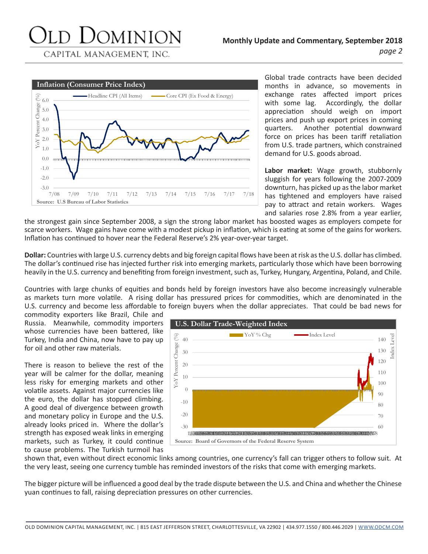## JOMINION

CAPITAL MANAGEMENT, INC.



Global trade contracts have been decided months in advance, so movements in exchange rates affected import prices with some lag. Accordingly, the dollar appreciation should weigh on import prices and push up export prices in coming quarters. Another potential downward force on prices has been tariff retaliation from U.S. trade partners, which constrained demand for U.S. goods abroad.

**Labor market:** Wage growth, stubbornly sluggish for years following the 2007-2009 downturn, has picked up as the labor market has tightened and employers have raised pay to attract and retain workers. Wages and salaries rose 2.8% from a year earlier,

the strongest gain since September 2008, a sign the strong labor market has boosted wages as employers compete for scarce workers. Wage gains have come with a modest pickup in inflation, which is eating at some of the gains for workers. Inflation has continued to hover near the Federal Reserve's 2% year-over-year target.

**Dollar:** Countries with large U.S. currency debts and big foreign capital flows have been at risk as the U.S. dollar has climbed. The dollar's continued rise has injected further risk into emerging markets, particularly those which have been borrowing heavily in the U.S. currency and benefiting from foreign investment, such as, Turkey, Hungary, Argentina, Poland, and Chile.

Countries with large chunks of equities and bonds held by foreign investors have also become increasingly vulnerable as markets turn more volatile. A rising dollar has pressured prices for commodities, which are denominated in the U.S. currency and become less affordable to foreign buyers when the dollar appreciates. That could be bad news for

commodity exporters like Brazil, Chile and Russia. Meanwhile, commodity importers whose currencies have been battered, like Turkey, India and China, now have to pay up for oil and other raw materials.

There is reason to believe the rest of the year will be calmer for the dollar, meaning less risky for emerging markets and other volatile assets. Against major currencies like the euro, the dollar has stopped climbing. A good deal of divergence between growth and monetary policy in Europe and the U.S. already looks priced in. Where the dollar's strength has exposed weak links in emerging markets, such as Turkey, it could continue to cause problems. The Turkish turmoil has



shown that, even without direct economic links among countries, one currency's fall can trigger others to follow suit. At the very least, seeing one currency tumble has reminded investors of the risks that come with emerging markets.

The bigger picture will be influenced a good deal by the trade dispute between the U.S. and China and whether the Chinese yuan continues to fall, raising depreciation pressures on other currencies.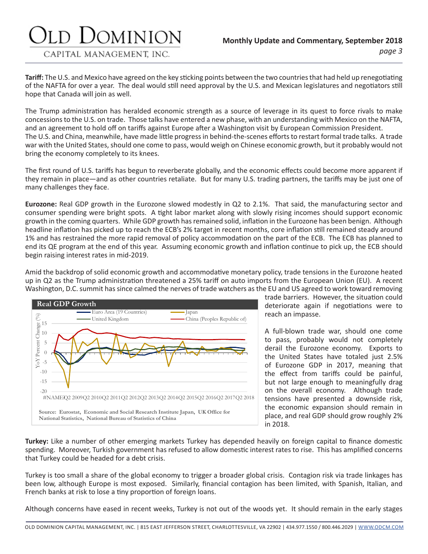### JOMINION

CAPITAL MANAGEMENT, INC.

**Tariff:** The U.S. and Mexico have agreed on the key sticking points between the two countries that had held up renegotiating of the NAFTA for over a year. The deal would still need approval by the U.S. and Mexican legislatures and negotiators still hope that Canada will join as well.

The Trump administration has heralded economic strength as a source of leverage in its quest to force rivals to make concessions to the U.S. on trade. Those talks have entered a new phase, with an understanding with Mexico on the NAFTA, and an agreement to hold off on tariffs against Europe after a Washington visit by European Commission President. The U.S. and China, meanwhile, have made little progress in behind-the-scenes efforts to restart formal trade talks. A trade war with the United States, should one come to pass, would weigh on Chinese economic growth, but it probably would not bring the economy completely to its knees.

The first round of U.S. tariffs has begun to reverberate globally, and the economic effects could become more apparent if they remain in place—and as other countries retaliate. But for many U.S. trading partners, the tariffs may be just one of many challenges they face.

**Eurozone:** Real GDP growth in the Eurozone slowed modestly in Q2 to 2.1%. That said, the manufacturing sector and consumer spending were bright spots. A tight labor market along with slowly rising incomes should support economic growth in the coming quarters. While GDP growth has remained solid, inflation in the Eurozone has been benign. Although headline inflation has picked up to reach the ECB's 2% target in recent months, core inflation still remained steady around 1% and has restrained the more rapid removal of policy accommodation on the part of the ECB. The ECB has planned to end its QE program at the end of this year. Assuming economic growth and inflation continue to pick up, the ECB should begin raising interest rates in mid-2019.

Amid the backdrop of solid economic growth and accommodative monetary policy, trade tensions in the Eurozone heated up in Q2 as the Trump administration threatened a 25% tariff on auto imports from the European Union (EU). A recent Washington, D.C. summit has since calmed the nerves of trade watchers as the EU and US agreed to work toward removing



trade barriers. However, the situation could deteriorate again if negotiations were to reach an impasse.

A full-blown trade war, should one come to pass, probably would not completely derail the Eurozone economy. Exports to the United States have totaled just 2.5% of Eurozone GDP in 2017, meaning that the effect from tariffs could be painful, but not large enough to meaningfully drag on the overall economy. Although trade tensions have presented a downside risk, the economic expansion should remain in place, and real GDP should grow roughly 2% in 2018.

**Turkey:** Like a number of other emerging markets Turkey has depended heavily on foreign capital to finance domestic spending. Moreover, Turkish government has refused to allow domestic interest rates to rise. This has amplified concerns that Turkey could be headed for a debt crisis.

Turkey is too small a share of the global economy to trigger a broader global crisis. Contagion risk via trade linkages has been low, although Europe is most exposed. Similarly, financial contagion has been limited, with Spanish, Italian, and French banks at risk to lose a tiny proportion of foreign loans.

Although concerns have eased in recent weeks, Turkey is not out of the woods yet. It should remain in the early stages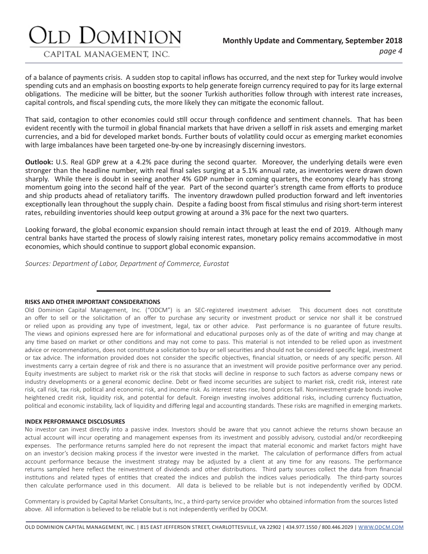### d Dominion

#### CAPITAL MANAGEMENT, INC.

of a balance of payments crisis. A sudden stop to capital inflows has occurred, and the next step for Turkey would involve spending cuts and an emphasis on boosting exports to help generate foreign currency required to pay for its large external obligations. The medicine will be bitter, but the sooner Turkish authorities follow through with interest rate increases, capital controls, and fiscal spending cuts, the more likely they can mitigate the economic fallout.

That said, contagion to other economies could still occur through confidence and sentiment channels. That has been evident recently with the turmoil in global financial markets that have driven a selloff in risk assets and emerging market currencies, and a bid for developed market bonds. Further bouts of volatility could occur as emerging market economies with large imbalances have been targeted one-by-one by increasingly discerning investors.

**Outlook:** U.S. Real GDP grew at a 4.2% pace during the second quarter. Moreover, the underlying details were even stronger than the headline number, with real final sales surging at a 5.1% annual rate, as inventories were drawn down sharply. While there is doubt in seeing another 4% GDP number in coming quarters, the economy clearly has strong momentum going into the second half of the year. Part of the second quarter's strength came from efforts to produce and ship products ahead of retaliatory tariffs. The inventory drawdown pulled production forward and left inventories exceptionally lean throughout the supply chain. Despite a fading boost from fiscal stimulus and rising short-term interest rates, rebuilding inventories should keep output growing at around a 3% pace for the next two quarters.

Looking forward, the global economic expansion should remain intact through at least the end of 2019. Although many central banks have started the process of slowly raising interest rates, monetary policy remains accommodative in most economies, which should continue to support global economic expansion.

*Sources: Department of Labor, Department of Commerce, Eurostat*

#### **RISKS AND OTHER IMPORTANT CONSIDERATIONS**

Old Dominion Capital Management, Inc. ("ODCM") is an SEC-registered investment adviser. This document does not constitute an offer to sell or the solicitation of an offer to purchase any security or investment product or service nor shall it be construed or relied upon as providing any type of investment, legal, tax or other advice. Past performance is no guarantee of future results. The views and opinions expressed here are for informational and educational purposes only as of the date of writing and may change at any time based on market or other conditions and may not come to pass. This material is not intended to be relied upon as investment advice or recommendations, does not constitute a solicitation to buy or sell securities and should not be considered specific legal, investment or tax advice. The information provided does not consider the specific objectives, financial situation, or needs of any specific person. All investments carry a certain degree of risk and there is no assurance that an investment will provide positive performance over any period. Equity investments are subject to market risk or the risk that stocks will decline in response to such factors as adverse company news or industry developments or a general economic decline. Debt or fixed income securities are subject to market risk, credit risk, interest rate risk, call risk, tax risk, political and economic risk, and income risk. As interest rates rise, bond prices fall. Noninvestment-grade bonds involve heightened credit risk, liquidity risk, and potential for default. Foreign investing involves additional risks, including currency fluctuation, political and economic instability, lack of liquidity and differing legal and accounting standards. These risks are magnified in emerging markets.

#### **INDEX PERFORMANCE DISCLOSURES**

No investor can invest directly into a passive index. Investors should be aware that you cannot achieve the returns shown because an actual account will incur operating and management expenses from its investment and possibly advisory, custodial and/or recordkeeping expenses. The performance returns sampled here do not represent the impact that material economic and market factors might have on an investor's decision making process if the investor were invested in the market. The calculation of performance differs from actual account performance because the investment strategy may be adjusted by a client at any time for any reasons. The performance returns sampled here reflect the reinvestment of dividends and other distributions. Third party sources collect the data from financial institutions and related types of entities that created the indices and publish the indices values periodically. The third-party sources then calculate performance used in this document. All data is believed to be reliable but is not independently verified by ODCM.

Commentary is provided by Capital Market Consultants, Inc., a third-party service provider who obtained information from the sources listed above. All information is believed to be reliable but is not independently verified by ODCM.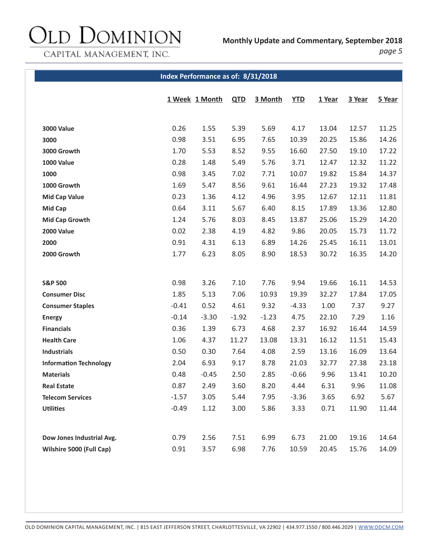# Old Dominion

**Monthly Update and Commentary, September 2018**

CAPITAL MANAGEMENT, INC.

*page 5*

#### **Index Performance as of: 8/31/2018**

|                               |         | 1 Week 1 Month | <b>QTD</b> | 3 Month | <b>YTD</b> | 1 Year | 3 Year | 5 Year |
|-------------------------------|---------|----------------|------------|---------|------------|--------|--------|--------|
|                               |         |                |            |         |            |        |        |        |
| <b>3000 Value</b>             | 0.26    | 1.55           | 5.39       | 5.69    | 4.17       | 13.04  | 12.57  | 11.25  |
| 3000                          | 0.98    | 3.51           | 6.95       | 7.65    | 10.39      | 20.25  | 15.86  | 14.26  |
| 3000 Growth                   | 1.70    | 5.53           | 8.52       | 9.55    | 16.60      | 27.50  | 19.10  | 17.22  |
| <b>1000 Value</b>             | 0.28    | 1.48           | 5.49       | 5.76    | 3.71       | 12.47  | 12.32  | 11.22  |
| 1000                          | 0.98    | 3.45           | 7.02       | 7.71    | 10.07      | 19.82  | 15.84  | 14.37  |
| 1000 Growth                   | 1.69    | 5.47           | 8.56       | 9.61    | 16.44      | 27.23  | 19.32  | 17.48  |
| <b>Mid Cap Value</b>          | 0.23    | 1.36           | 4.12       | 4.96    | 3.95       | 12.67  | 12.11  | 11.81  |
| <b>Mid Cap</b>                | 0.64    | 3.11           | 5.67       | 6.40    | 8.15       | 17.89  | 13.36  | 12.80  |
| <b>Mid Cap Growth</b>         | 1.24    | 5.76           | 8.03       | 8.45    | 13.87      | 25.06  | 15.29  | 14.20  |
| <b>2000 Value</b>             | 0.02    | 2.38           | 4.19       | 4.82    | 9.86       | 20.05  | 15.73  | 11.72  |
| 2000                          | 0.91    | 4.31           | 6.13       | 6.89    | 14.26      | 25.45  | 16.11  | 13.01  |
| 2000 Growth                   | 1.77    | 6.23           | 8.05       | 8.90    | 18.53      | 30.72  | 16.35  | 14.20  |
|                               |         |                |            |         |            |        |        |        |
| <b>S&amp;P 500</b>            | 0.98    | 3.26           | 7.10       | 7.76    | 9.94       | 19.66  | 16.11  | 14.53  |
| <b>Consumer Disc</b>          | 1.85    | 5.13           | 7.06       | 10.93   | 19.39      | 32.27  | 17.84  | 17.05  |
| <b>Consumer Staples</b>       | $-0.41$ | 0.52           | 4.61       | 9.32    | $-4.33$    | 1.00   | 7.37   | 9.27   |
| <b>Energy</b>                 | $-0.14$ | $-3.30$        | $-1.92$    | $-1.23$ | 4.75       | 22.10  | 7.29   | 1.16   |
| <b>Financials</b>             | 0.36    | 1.39           | 6.73       | 4.68    | 2.37       | 16.92  | 16.44  | 14.59  |
| <b>Health Care</b>            | 1.06    | 4.37           | 11.27      | 13.08   | 13.31      | 16.12  | 11.51  | 15.43  |
| <b>Industrials</b>            | 0.50    | 0.30           | 7.64       | 4.08    | 2.59       | 13.16  | 16.09  | 13.64  |
| <b>Information Technology</b> | 2.04    | 6.93           | 9.17       | 8.78    | 21.03      | 32.77  | 27.38  | 23.18  |
| <b>Materials</b>              | 0.48    | $-0.45$        | 2.50       | 2.85    | $-0.66$    | 9.96   | 13.41  | 10.20  |
| <b>Real Estate</b>            | 0.87    | 2.49           | 3.60       | 8.20    | 4.44       | 6.31   | 9.96   | 11.08  |
| <b>Telecom Services</b>       | $-1.57$ | 3.05           | 5.44       | 7.95    | $-3.36$    | 3.65   | 6.92   | 5.67   |
| <b>Utilities</b>              | $-0.49$ | 1.12           | 3.00       | 5.86    | 3.33       | 0.71   | 11.90  | 11.44  |
|                               |         |                |            |         |            |        |        |        |
| Dow Jones Industrial Avg.     | 0.79    | 2.56           | 7.51       | 6.99    | 6.73       | 21.00  | 19.16  | 14.64  |
| Wilshire 5000 (Full Cap)      | 0.91    | 3.57           | 6.98       | 7.76    | 10.59      | 20.45  | 15.76  | 14.09  |